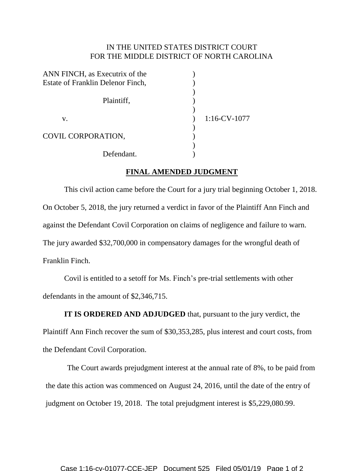## IN THE UNITED STATES DISTRICT COURT FOR THE MIDDLE DISTRICT OF NORTH CAROLINA

| ANN FINCH, as Executrix of the    |                    |
|-----------------------------------|--------------------|
| Estate of Franklin Delenor Finch, |                    |
| Plaintiff,                        |                    |
|                                   |                    |
| V.                                | $1:16$ -CV- $1077$ |
|                                   |                    |
| COVIL CORPORATION,                |                    |
|                                   |                    |
| Defendant.                        |                    |

## **FINAL AMENDED JUDGMENT**

This civil action came before the Court for a jury trial beginning October 1, 2018. On October 5, 2018, the jury returned a verdict in favor of the Plaintiff Ann Finch and against the Defendant Covil Corporation on claims of negligence and failure to warn. The jury awarded \$32,700,000 in compensatory damages for the wrongful death of Franklin Finch.

Covil is entitled to a setoff for Ms. Finch's pre-trial settlements with other defendants in the amount of \$2,346,715.

**IT IS ORDERED AND ADJUDGED** that, pursuant to the jury verdict, the Plaintiff Ann Finch recover the sum of \$30,353,285, plus interest and court costs, from the Defendant Covil Corporation.

The Court awards prejudgment interest at the annual rate of 8%, to be paid from the date this action was commenced on August 24, 2016, until the date of the entry of judgment on October 19, 2018. The total prejudgment interest is \$5,229,080.99.